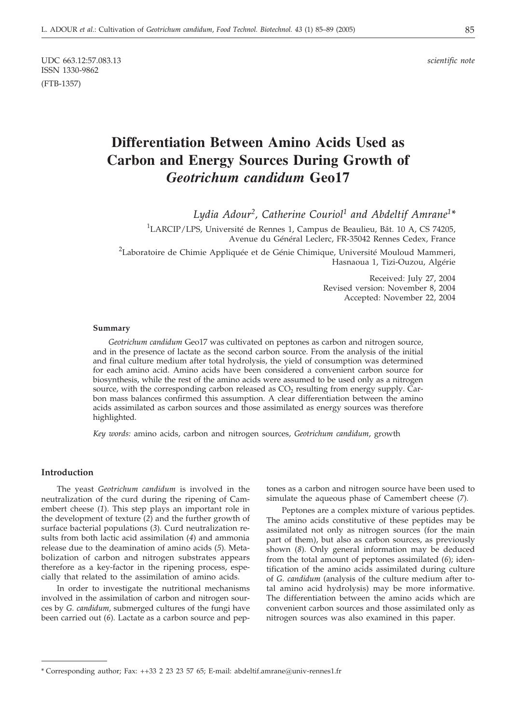UDC 663.12:57.083.13 *scientific note* ISSN 1330-9862 (FTB-1357)

# **Differentiation Between Amino Acids Used as Carbon and Energy Sources During Growth of** *Geotrichum candidum* **Geo17**

*Lydia Adour2, Catherine Couriol1 and Abdeltif Amrane1\**

<sup>1</sup>LARCIP/LPS, Université de Rennes 1, Campus de Beaulieu, Bât. 10 A, CS 74205, Avenue du Général Leclerc, FR-35042 Rennes Cedex, France

<sup>2</sup>Laboratoire de Chimie Appliquée et de Génie Chimique, Université Mouloud Mammeri, Hasnaoua 1, Tizi-Ouzou, Algérie

> Received: July 27, 2004 Revised version: November 8, 2004 Accepted: November 22, 2004

#### **Summary**

*Geotrichum candidum* Geo17 was cultivated on peptones as carbon and nitrogen source, and in the presence of lactate as the second carbon source. From the analysis of the initial and final culture medium after total hydrolysis, the yield of consumption was determined for each amino acid. Amino acids have been considered a convenient carbon source for biosynthesis, while the rest of the amino acids were assumed to be used only as a nitrogen source, with the corresponding carbon released as  $CO<sub>2</sub>$  resulting from energy supply. Carbon mass balances confirmed this assumption. A clear differentiation between the amino acids assimilated as carbon sources and those assimilated as energy sources was therefore highlighted.

*Key words:* amino acids, carbon and nitrogen sources, *Geotrichum candidum*, growth

## **Introduction**

The yeast *Geotrichum candidum* is involved in the neutralization of the curd during the ripening of Camembert cheese (*1*). This step plays an important role in the development of texture (*2*) and the further growth of surface bacterial populations (*3*)*.* Curd neutralization results from both lactic acid assimilation (*4*) and ammonia release due to the deamination of amino acids (*5*)*.* Metabolization of carbon and nitrogen substrates appears therefore as a key-factor in the ripening process, especially that related to the assimilation of amino acids.

In order to investigate the nutritional mechanisms involved in the assimilation of carbon and nitrogen sources by *G. candidum*, submerged cultures of the fungi have been carried out (*6*)*.* Lactate as a carbon source and pep-

tones as a carbon and nitrogen source have been used to simulate the aqueous phase of Camembert cheese (*7*)*.*

Peptones are a complex mixture of various peptides. The amino acids constitutive of these peptides may be assimilated not only as nitrogen sources (for the main part of them), but also as carbon sources, as previously shown (*8*)*.* Only general information may be deduced from the total amount of peptones assimilated (*6*); identification of the amino acids assimilated during culture of *G. candidum* (analysis of the culture medium after total amino acid hydrolysis) may be more informative. The differentiation between the amino acids which are convenient carbon sources and those assimilated only as nitrogen sources was also examined in this paper.

<sup>\*</sup> Corresponding author; Fax: ++33 2 23 23 57 65; E-mail: abdeltif.amrane*@*univ-rennes1.fr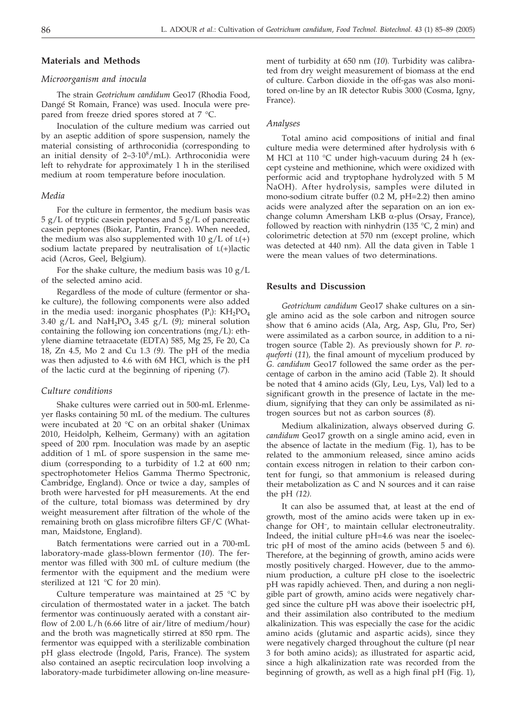# **Materials and Methods**

#### *Microorganism and inocula*

The strain *Geotrichum candidum* Geo17 (Rhodia Food, Dangé St Romain, France) was used. Inocula were prepared from freeze dried spores stored at 7 °C.

Inoculation of the culture medium was carried out by an aseptic addition of spore suspension, namely the material consisting of arthroconidia (corresponding to an initial density of  $2-3.10<sup>8</sup>/mL$ ). Arthroconidia were left to rehydrate for approximately 1 h in the sterilised medium at room temperature before inoculation.

### *Media*

For the culture in fermentor, the medium basis was 5 g/L of tryptic casein peptones and 5 g/L of pancreatic casein peptones (Biokar, Pantin, France). When needed, the medium was also supplemented with  $10 g/L$  of  $L(+)$ sodium lactate prepared by neutralisation of L(+)lactic acid (Acros, Geel, Belgium).

For the shake culture, the medium basis was  $10 g/L$ of the selected amino acid.

Regardless of the mode of culture (fermentor or shake culture), the following components were also added in the media used: inorganic phosphates  $(P_i)$ :  $KH_2PO_4$ 3.40 g/L and NaH<sub>2</sub>PO<sub>4</sub> 3.45 g/L (9); mineral solution containing the following ion concentrations (mg/L): ethylene diamine tetraacetate (EDTA) 585, Mg 25, Fe 20, Ca 18, Zn 4.5, Mo 2 and Cu 1.3 *(9).* The pH of the media was then adjusted to 4.6 with 6M HCl, which is the pH of the lactic curd at the beginning of ripening (*7*)*.*

#### *Culture conditions*

Shake cultures were carried out in 500-mL Erlenmeyer flasks containing 50 mL of the medium. The cultures were incubated at 20 °C on an orbital shaker (Unimax 2010, Heidolph, Kelheim, Germany) with an agitation speed of 200 rpm. Inoculation was made by an aseptic addition of 1 mL of spore suspension in the same medium (corresponding to a turbidity of 1.2 at 600 nm; spectrophotometer Helios Gamma Thermo Spectronic, Cambridge, England). Once or twice a day, samples of broth were harvested for pH measurements. At the end of the culture, total biomass was determined by dry weight measurement after filtration of the whole of the remaining broth on glass microfibre filters GF/C (Whatman, Maidstone, England).

Batch fermentations were carried out in a 700-mL laboratory-made glass-blown fermentor (*10*)*.* The fermentor was filled with 300 mL of culture medium (the fermentor with the equipment and the medium were sterilized at 121  $^{\circ}$ C for 20 min).

Culture temperature was maintained at 25  $^{\circ}$ C by circulation of thermostated water in a jacket. The batch fermentor was continuously aerated with a constant airflow of 2.00 L/h (6.66 litre of air/litre of medium/hour) and the broth was magnetically stirred at 850 rpm. The fermentor was equipped with a sterilizable combination pH glass electrode (Ingold, Paris, France). The system also contained an aseptic recirculation loop involving a laboratory-made turbidimeter allowing on-line measurement of turbidity at 650 nm (*10*)*.* Turbidity was calibrated from dry weight measurement of biomass at the end of culture. Carbon dioxide in the off-gas was also monitored on-line by an IR detector Rubis 3000 (Cosma, Igny, France).

## *Analyses*

Total amino acid compositions of initial and final culture media were determined after hydrolysis with 6 M HCl at 110 °C under high-vacuum during 24 h (except cysteine and methionine, which were oxidized with performic acid and tryptophane hydrolyzed with 5 M NaOH). After hydrolysis, samples were diluted in mono-sodium citrate buffer (0.2 M, pH=2.2) then amino acids were analyzed after the separation on an ion exchange column Amersham LKB  $\alpha$ -plus (Orsay, France), followed by reaction with ninhydrin (135  $°C$ , 2 min) and colorimetric detection at 570 nm (except proline, which was detected at 440 nm). All the data given in Table 1 were the mean values of two determinations.

# **Results and Discussion**

*Geotrichum candidum* Geo17 shake cultures on a single amino acid as the sole carbon and nitrogen source show that 6 amino acids (Ala, Arg, Asp, Glu, Pro, Ser) were assimilated as a carbon source, in addition to a nitrogen source (Table 2). As previously shown for *P. roqueforti* (*11*)*,* the final amount of mycelium produced by *G. candidum* Geo17 followed the same order as the percentage of carbon in the amino acid (Table 2). It should be noted that 4 amino acids (Gly, Leu, Lys, Val) led to a significant growth in the presence of lactate in the medium, signifying that they can only be assimilated as nitrogen sources but not as carbon sources (*8*)*.*

Medium alkalinization, always observed during *G. candidum* Geo17 growth on a single amino acid, even in the absence of lactate in the medium (Fig. 1), has to be related to the ammonium released, since amino acids contain excess nitrogen in relation to their carbon content for fungi, so that ammonium is released during their metabolization as C and N sources and it can raise the pH *(12).*

It can also be assumed that, at least at the end of growth, most of the amino acids were taken up in exchange for OH–, to maintain cellular electroneutrality. Indeed, the initial culture pH=4.6 was near the isoelectric pH of most of the amino acids (between 5 and 6). Therefore, at the beginning of growth, amino acids were mostly positively charged. However, due to the ammonium production, a culture pH close to the isoelectric pH was rapidly achieved. Then, and during a non negligible part of growth, amino acids were negatively charged since the culture pH was above their isoelectric pH, and their assimilation also contributed to the medium alkalinization. This was especially the case for the acidic amino acids (glutamic and aspartic acids), since they were negatively charged throughout the culture (pI near 3 for both amino acids); as illustrated for aspartic acid, since a high alkalinization rate was recorded from the beginning of growth, as well as a high final pH (Fig. 1),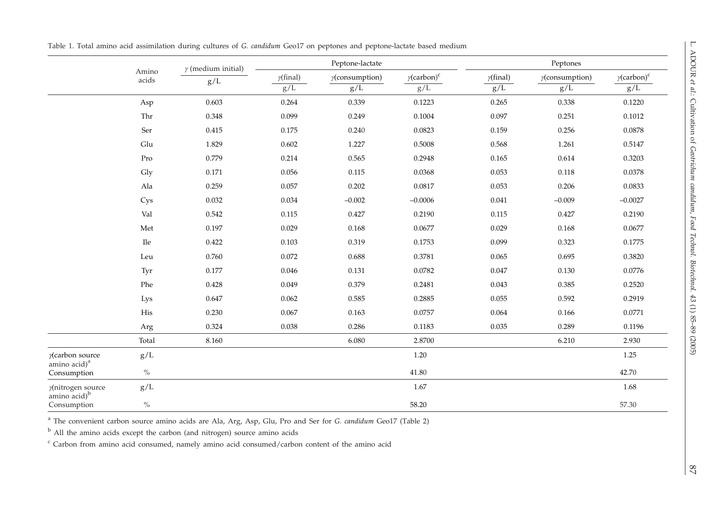|                                                              |                | $\gamma$ (medium initial) | Peptone-lactate               |                          |                                       | Peptones                |                               |                                       |
|--------------------------------------------------------------|----------------|---------------------------|-------------------------------|--------------------------|---------------------------------------|-------------------------|-------------------------------|---------------------------------------|
|                                                              | Amino<br>acids | g/L                       | $\gamma(\text{final})$<br>g/L | $y$ (consumption)<br>g/L | $\gamma$ (carbon) <sup>c</sup><br>g/L | $\gamma$ (final)<br>g/L | $\gamma$ (consumption)<br>g/L | $\gamma$ (carbon) <sup>c</sup><br>g/L |
|                                                              |                |                           |                               |                          |                                       |                         |                               |                                       |
|                                                              | Asp            | 0.603                     | 0.264                         | 0.339                    | 0.1223                                | 0.265                   | 0.338                         | 0.1220                                |
|                                                              | Thr            | 0.348                     | 0.099                         | 0.249                    | 0.1004                                | 0.097                   | 0.251                         | 0.1012                                |
|                                                              | Ser            | 0.415                     | 0.175                         | 0.240                    | 0.0823                                | 0.159                   | 0.256                         | 0.0878                                |
|                                                              | Glu            | 1.829                     | 0.602                         | 1.227                    | 0.5008                                | 0.568                   | 1.261                         | 0.5147                                |
|                                                              | Pro            | 0.779                     | 0.214                         | 0.565                    | 0.2948                                | 0.165                   | 0.614                         | 0.3203                                |
|                                                              | Gly            | 0.171                     | 0.056                         | 0.115                    | 0.0368                                | 0.053                   | 0.118                         | 0.0378                                |
|                                                              | Ala            | 0.259                     | 0.057                         | 0.202                    | 0.0817                                | 0.053                   | 0.206                         | 0.0833                                |
|                                                              | Cys            | 0.032                     | 0.034                         | $-0.002$                 | $-0.0006$                             | 0.041                   | $-0.009$                      | $-0.0027$                             |
|                                                              | Val            | 0.542                     | 0.115                         | 0.427                    | 0.2190                                | 0.115                   | 0.427                         | 0.2190                                |
|                                                              | Met            | 0.197                     | 0.029                         | 0.168                    | 0.0677                                | 0.029                   | 0.168                         | 0.0677                                |
|                                                              | $\rm He$       | 0.422                     | 0.103                         | 0.319                    | 0.1753                                | 0.099                   | 0.323                         | 0.1775                                |
|                                                              | Leu            | 0.760                     | 0.072                         | 0.688                    | 0.3781                                | 0.065                   | 0.695                         | 0.3820                                |
|                                                              | Tyr            | 0.177                     | 0.046                         | 0.131                    | 0.0782                                | 0.047                   | 0.130                         | 0.0776                                |
|                                                              | Phe            | 0.428                     | 0.049                         | 0.379                    | 0.2481                                | 0.043                   | 0.385                         | 0.2520                                |
|                                                              | Lys            | 0.647                     | 0.062                         | 0.585                    | 0.2885                                | 0.055                   | 0.592                         | 0.2919                                |
|                                                              | His            | 0.230                     | 0.067                         | 0.163                    | 0.0757                                | 0.064                   | 0.166                         | 0.0771                                |
|                                                              | Arg            | 0.324                     | 0.038                         | 0.286                    | 0.1183                                | 0.035                   | 0.289                         | 0.1196                                |
|                                                              | Total          | 8.160                     |                               | 6.080                    | 2.8700                                |                         | 6.210                         | 2.930                                 |
| y(carbon source<br>amino acid) <sup>a</sup><br>Consumption   | g/L            |                           |                               |                          | 1.20                                  |                         |                               | 1.25                                  |
|                                                              | $\%$           |                           |                               |                          | 41.80                                 |                         |                               | 42.70                                 |
| y(nitrogen source<br>amino acid) <sup>b</sup><br>Consumption | g/L            |                           |                               |                          | 1.67                                  |                         |                               | 1.68                                  |
|                                                              | $\%$           |                           |                               |                          | 58.20                                 |                         |                               | 57.30                                 |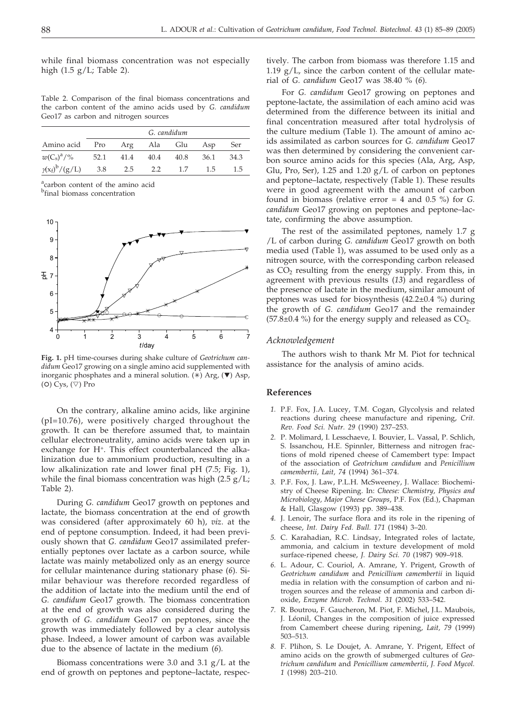while final biomass concentration was not especially high (1.5 g/L; Table 2).

Table 2. Comparison of the final biomass concentrations and the carbon content of the amino acids used by *G. candidum* Geo17 as carbon and nitrogen sources

|                       | G. candidum |                 |      |      |      |      |  |  |  |
|-----------------------|-------------|-----------------|------|------|------|------|--|--|--|
| Amino acid            |             | Pro Arg Ala Glu |      |      | Asp  | Ser  |  |  |  |
| $w(C_s)^a$ /%         |             | 52.1 41.4       | 40.4 | 40.8 | 36.1 | 34.3 |  |  |  |
| $\gamma(x_f)^b/(g/L)$ | 3.8         | 2.5             | 2.2  | 1.7  | 1.5  | 1.5  |  |  |  |
|                       |             |                 |      |      |      |      |  |  |  |

<sup>a</sup>carbon content of the amino acid

<sup>b</sup>final biomass concentration



**Fig. 1.** pH time-courses during shake culture of *Geotrichum candidum* Geo17 growing on a single amino acid supplemented with inorganic phosphates and a mineral solution. (\*) Arg,  $(\nabla)$  Asp, (O) Cys, ( $\triangledown$ ) Pro

On the contrary, alkaline amino acids, like arginine (pI=10.76), were positively charged throughout the growth. It can be therefore assumed that, to maintain cellular electroneutrality, amino acids were taken up in exchange for H+. This effect counterbalanced the alkalinization due to ammonium production, resulting in a low alkalinization rate and lower final pH (7.5; Fig. 1), while the final biomass concentration was high  $(2.5 \text{ g}/\text{L})$ ; Table 2).

During *G. candidum* Geo17 growth on peptones and lactate, the biomass concentration at the end of growth was considered (after approximately 60 h), *viz*. at the end of peptone consumption. Indeed, it had been previously shown that *G. candidum* Geo17 assimilated preferentially peptones over lactate as a carbon source, while lactate was mainly metabolized only as an energy source for cellular maintenance during stationary phase (*6*)*.* Similar behaviour was therefore recorded regardless of the addition of lactate into the medium until the end of *G. candidum* Geo17 growth. The biomass concentration at the end of growth was also considered during the growth of *G. candidum* Geo17 on peptones, since the growth was immediately followed by a clear autolysis phase. Indeed, a lower amount of carbon was available due to the absence of lactate in the medium (*6*)*.*

Biomass concentrations were 3.0 and 3.1 g/L at the end of growth on peptones and peptone–lactate, respectively. The carbon from biomass was therefore 1.15 and 1.19  $g/L$ , since the carbon content of the cellular material of *G. candidum* Geo17 was 38.40 % (*6*)*.*

For *G. candidum* Geo17 growing on peptones and peptone-lactate, the assimilation of each amino acid was determined from the difference between its initial and final concentration measured after total hydrolysis of the culture medium (Table 1). The amount of amino acids assimilated as carbon sources for *G. candidum* Geo17 was then determined by considering the convenient carbon source amino acids for this species (Ala, Arg, Asp, Glu, Pro, Ser), 1.25 and 1.20  $g/L$  of carbon on peptones and peptone–lactate, respectively (Table 1). These results were in good agreement with the amount of carbon found in biomass (relative error = 4 and 0.5 %) for *G. candidum* Geo17 growing on peptones and peptone–lactate, confirming the above assumption.

The rest of the assimilated peptones, namely 1.7 g /L of carbon during *G. candidum* Geo17 growth on both media used (Table 1), was assumed to be used only as a nitrogen source, with the corresponding carbon released as  $CO<sub>2</sub>$  resulting from the energy supply. From this, in agreement with previous results (*13*) and regardless of the presence of lactate in the medium, similar amount of peptones was used for biosynthesis (42.2±0.4 %) during the growth of *G. candidum* Geo17 and the remainder  $(57.8\pm0.4\%)$  for the energy supply and released as CO<sub>2</sub>.

#### *Acknowledgement*

The authors wish to thank Mr M. Piot for technical assistance for the analysis of amino acids.

#### **References**

- *1.* P.F. Fox, J.A. Lucey, T.M. Cogan, Glycolysis and related reactions during cheese manufacture and ripening, *Crit. Rev. Food Sci. Nutr. 29* (1990) 237–253.
- *2.* P. Molimard, I. Lesschaeve, I. Bouvier, L. Vassal, P. Schlich, S. Issanchou, H.E. Spinnler, Bitterness and nitrogen fractions of mold ripened cheese of Camembert type: Impact of the association of *Geotrichum candidum* and *Penicillium camembertii, Lait, 74* (1994) 361–374.
- *3.* P.F. Fox, J. Law, P.L.H. McSweeney, J. Wallace: Biochemistry of Cheese Ripening. In: *Cheese: Chemistry, Physics and Microbiology, Major Cheese Groups*, P.F. Fox (Ed.), Chapman & Hall, Glasgow (1993) pp. 389–438.
- *4.* J. Lenoir, The surface flora and its role in the ripening of cheese, *Int. Dairy Fed. Bull. 171* (1984) 3–20.
- *5.* C. Karahadian, R.C. Lindsay, Integrated roles of lactate, ammonia, and calcium in texture development of mold surface-ripened cheese, *J. Dairy Sci. 70* (1987) 909–918.
- *6.* L. Adour, C. Couriol, A. Amrane, Y. Prigent, Growth of *Geotrichum candidum* and *Penicillium camembertii* in liquid media in relation with the consumption of carbon and nitrogen sources and the release of ammonia and carbon dioxide, *Enzyme Microb. Technol. 31* (2002) 533–542.
- *7.* R. Boutrou, F. Gaucheron, M. Piot, F. Michel, J.L. Maubois, J. Léonil, Changes in the composition of juice expressed from Camembert cheese during ripening, *Lait, 79* (1999) 503–513.
- *8.* F. Plihon, S. Le Doujet, A. Amrane, Y. Prigent, Effect of amino acids on the growth of submerged cultures of *Geotrichum candidum* and *Penicillium camembertii*, *J. Food Mycol. 1* (1998) 203–210.